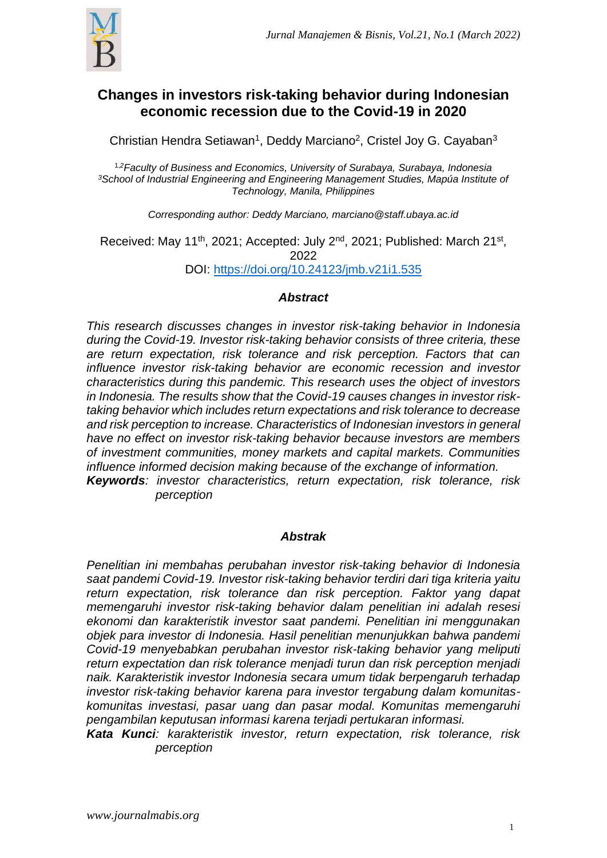

# **Changes in investors risk-taking behavior during Indonesian economic recession due to the Covid-19 in 2020**

Christian Hendra Setiawan<sup>1</sup>, Deddy Marciano<sup>2</sup>, Cristel Joy G. Cayaban<sup>3</sup>

1,*<sup>2</sup>Faculty of Business and Economics, University of Surabaya, Surabaya, Indonesia <sup>3</sup>School of Industrial Engineering and Engineering Management Studies, Mapúa Institute of Technology, Manila, Philippines*

*Corresponding author: Deddy Marciano, marciano@staff.ubaya.ac.id*

Received: May 11<sup>th</sup>, 2021; Accepted: July 2<sup>nd</sup>, 2021; Published: March 21<sup>st</sup>, 2022 DOI:<https://doi.org/10.24123/jmb.v21i1.535>

### *Abstract*

*This research discusses changes in investor risk-taking behavior in Indonesia during the Covid-19. Investor risk-taking behavior consists of three criteria, these are return expectation, risk tolerance and risk perception. Factors that can influence investor risk-taking behavior are economic recession and investor characteristics during this pandemic. This research uses the object of investors in Indonesia. The results show that the Covid-19 causes changes in investor risktaking behavior which includes return expectations and risk tolerance to decrease and risk perception to increase. Characteristics of Indonesian investors in general have no effect on investor risk-taking behavior because investors are members of investment communities, money markets and capital markets. Communities influence informed decision making because of the exchange of information.*

*Keywords: investor characteristics, return expectation, risk tolerance, risk perception*

### *Abstrak*

*Penelitian ini membahas perubahan investor risk-taking behavior di Indonesia saat pandemi Covid-19. Investor risk-taking behavior terdiri dari tiga kriteria yaitu return expectation, risk tolerance dan risk perception. Faktor yang dapat memengaruhi investor risk-taking behavior dalam penelitian ini adalah resesi ekonomi dan karakteristik investor saat pandemi. Penelitian ini menggunakan objek para investor di Indonesia. Hasil penelitian menunjukkan bahwa pandemi Covid-19 menyebabkan perubahan investor risk-taking behavior yang meliputi return expectation dan risk tolerance menjadi turun dan risk perception menjadi naik. Karakteristik investor Indonesia secara umum tidak berpengaruh terhadap investor risk-taking behavior karena para investor tergabung dalam komunitaskomunitas investasi, pasar uang dan pasar modal. Komunitas memengaruhi pengambilan keputusan informasi karena terjadi pertukaran informasi.*

*Kata Kunci: karakteristik investor, return expectation, risk tolerance, risk perception*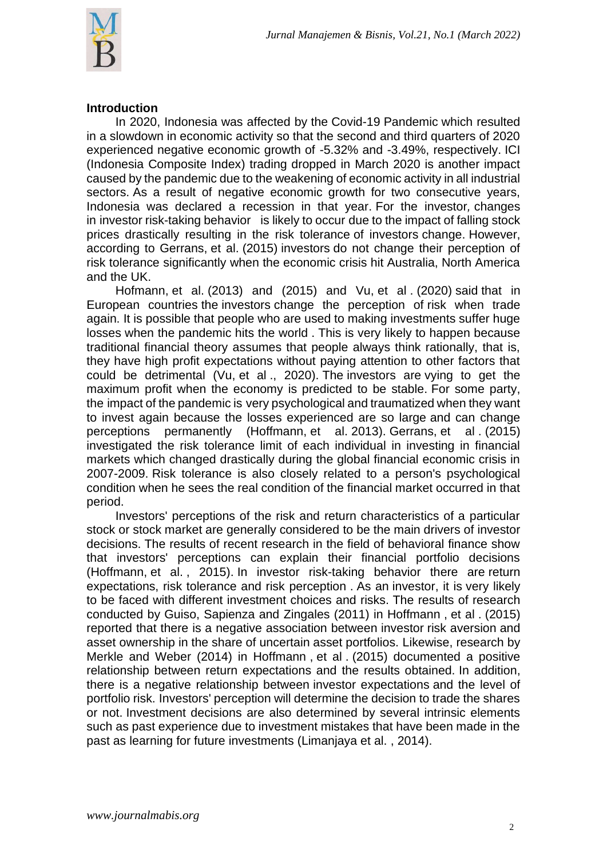

### **Introduction**

In 2020, Indonesia was affected by the Covid-19 Pandemic which resulted in a slowdown in economic activity so that the second and third quarters of 2020 experienced negative economic growth of -5.32% and -3.49%, respectively. ICI (Indonesia Composite Index) trading dropped in March 2020 is another impact caused by the pandemic due to the weakening of economic activity in all industrial sectors. As a result of negative economic growth for two consecutive years, Indonesia was declared a recession in that year. For the investor*,* changes in investor risk-taking behavior is likely to occur due to the impact of falling stock prices drastically resulting in the risk tolerance of investors change. However, according to Gerrans, et al. (2015) investors do not change their perception of risk tolerance significantly when the economic crisis hit Australia, North America and the UK.

Hofmann, et al. (2013) and (2015) and Vu, et al . (2020) said that in European countries the investors change the perception of risk when trade again. It is possible that people who are used to making investments suffer huge losses when the pandemic hits the world . This is very likely to happen because traditional financial theory assumes that people always think rationally, that is, they have high profit expectations without paying attention to other factors that could be detrimental (Vu, et al ., 2020). The investors are vying to get the maximum profit when the economy is predicted to be stable. For some party, the impact of the pandemic is very psychological and traumatized when they want to invest again because the losses experienced are so large and can change perceptions permanently (Hoffmann, et al. 2013). Gerrans, et al . (2015) investigated the risk tolerance limit of each individual in investing in financial markets which changed drastically during the global financial economic crisis in 2007-2009. Risk tolerance is also closely related to a person's psychological condition when he sees the real condition of the financial market occurred in that period.

Investors' perceptions of the risk and return characteristics of a particular stock or stock market are generally considered to be the main drivers of investor decisions. The results of recent research in the field of behavioral finance show that investors' perceptions can explain their financial portfolio decisions (Hoffmann, et al. , 2015). In investor risk-taking behavior there are return expectations, risk tolerance and risk perception . As an investor, it is very likely to be faced with different investment choices and risks. The results of research conducted by Guiso, Sapienza and Zingales (2011) in Hoffmann , et al . (2015) reported that there is a negative association between investor risk aversion and asset ownership in the share of uncertain asset portfolios. Likewise, research by Merkle and Weber (2014) in Hoffmann , et al . (2015) documented a positive relationship between return expectations and the results obtained. In addition, there is a negative relationship between investor expectations and the level of portfolio risk. Investors' perception will determine the decision to trade the shares or not. Investment decisions are also determined by several intrinsic elements such as past experience due to investment mistakes that have been made in the past as learning for future investments (Limanjaya et al. , 2014).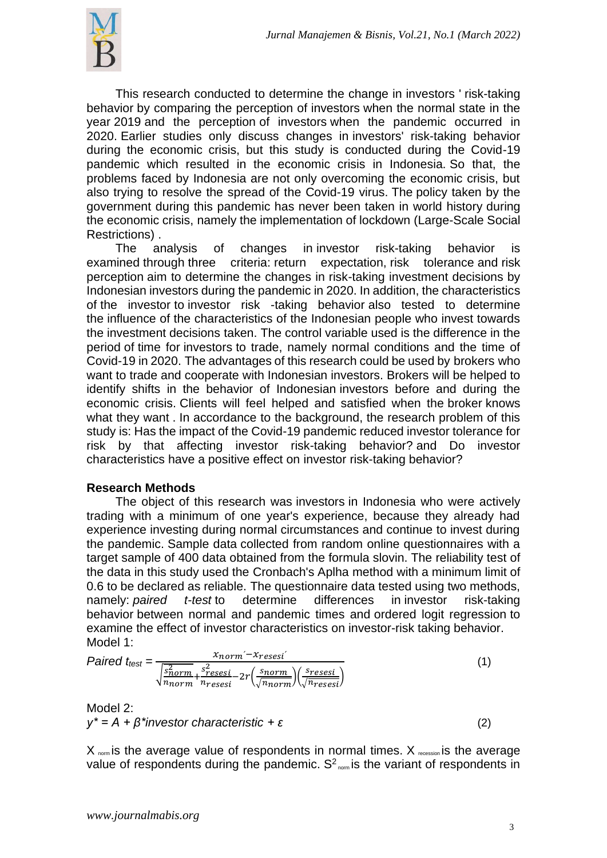

This research conducted to determine the change in investors ' risk-taking behavior by comparing the perception of investors when the normal state in the year 2019 and the perception of investors when the pandemic occurred in 2020. Earlier studies only discuss changes in investors' risk-taking behavior during the economic crisis, but this study is conducted during the Covid-19 pandemic which resulted in the economic crisis in Indonesia. So that, the problems faced by Indonesia are not only overcoming the economic crisis, but also trying to resolve the spread of the Covid-19 virus. The policy taken by the government during this pandemic has never been taken in world history during the economic crisis, namely the implementation of lockdown (Large-Scale Social Restrictions) .

The analysis of changes in investor risk-taking behavior is examined through three criteria: return expectation, risk tolerance and risk perception aim to determine the changes in risk-taking investment decisions by Indonesian investors during the pandemic in 2020. In addition, the characteristics of the investor to investor risk -taking behavior also tested to determine the influence of the characteristics of the Indonesian people who invest towards the investment decisions taken. The control variable used is the difference in the period of time for investors to trade, namely normal conditions and the time of Covid-19 in 2020. The advantages of this research could be used by brokers who want to trade and cooperate with Indonesian investors. Brokers will be helped to identify shifts in the behavior of Indonesian investors before and during the economic crisis. Clients will feel helped and satisfied when the broker knows what they want . In accordance to the background, the research problem of this study is: Has the impact of the Covid-19 pandemic reduced investor tolerance for risk by that affecting investor risk-taking behavior? and Do investor characteristics have a positive effect on investor risk-taking behavior?

### **Research Methods**

The object of this research was investors in Indonesia who were actively trading with a minimum of one year's experience, because they already had experience investing during normal circumstances and continue to invest during the pandemic. Sample data collected from random online questionnaires with a target sample of 400 data obtained from the formula slovin. The reliability test of the data in this study used the Cronbach's Aplha method with a minimum limit of 0.6 to be declared as reliable. The questionnaire data tested using two methods, namely: *paired t-test* to determine differences in investor risk-taking behavior between normal and pandemic times and ordered logit regression to examine the effect of investor characteristics on investor-risk taking behavior. Model 1:

$$
Paired \text{ } t_{test} = \frac{x_{norm} - x_{reses}i}{\sqrt{\frac{s_{norm}^2}{n_{norm}} + \frac{s_{reses}^2}{n_{reses}^2} - 2r\left(\frac{s_{norm}}{\sqrt{n_{norm}}}\right)\left(\frac{s_{reses}}{\sqrt{n_{reses}^2}}\right)}} \tag{1}
$$

Model 2: *y\* = A + β\*investor characteristic + ε* (2)

 $X_{nom}$  is the average value of respondents in normal times.  $X_{recession}$  is the average value of respondents during the pandemic.  $S^2_{\text{nom}}$  is the variant of respondents in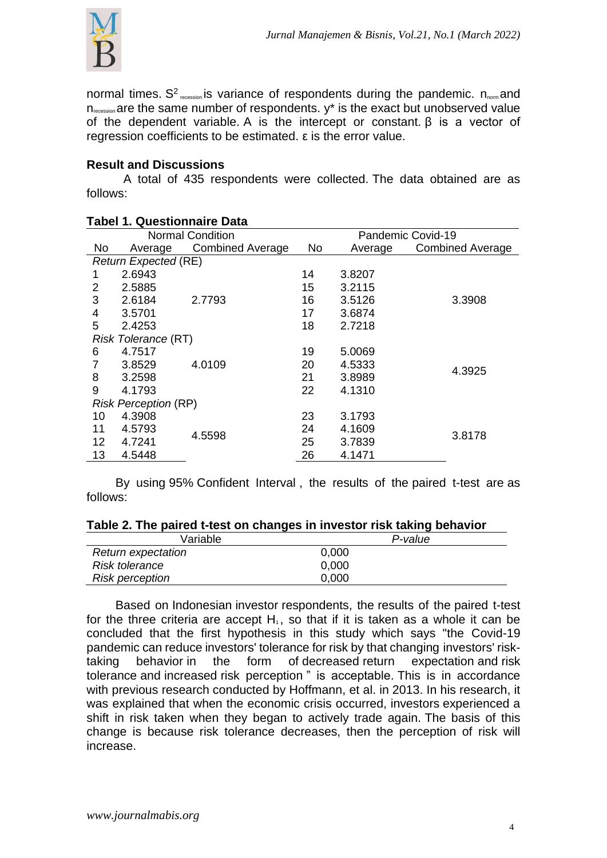

normal times. S<sup>2</sup> recession is variance of respondents during the pandemic.  $n_{\text{norm}}$  and  $n_{\text{recession}}$  are the same number of respondents.  $y^*$  is the exact but unobserved value of the dependent variable. A is the intercept or constant. β is a vector of regression coefficients to be estimated. ε is the error value.

# **Result and Discussions**

A total of 435 respondents were collected. The data obtained are as follows:

|                             | Taper T. Questionnaire Data |                         |                   |         |                         |  |  |  |
|-----------------------------|-----------------------------|-------------------------|-------------------|---------|-------------------------|--|--|--|
| <b>Normal Condition</b>     |                             |                         | Pandemic Covid-19 |         |                         |  |  |  |
| No.                         | Average                     | <b>Combined Average</b> | No.               | Average | <b>Combined Average</b> |  |  |  |
|                             | <b>Return Expected (RE)</b> |                         |                   |         |                         |  |  |  |
|                             | 2.6943                      |                         | 14                | 3.8207  |                         |  |  |  |
| 2                           | 2.5885                      |                         | 15                | 3.2115  |                         |  |  |  |
| 3                           | 2.6184                      | 2.7793                  | 16                | 3.5126  | 3.3908                  |  |  |  |
| 4                           | 3.5701                      |                         | 17                | 3.6874  |                         |  |  |  |
| 5                           | 2.4253                      |                         | 18                | 2.7218  |                         |  |  |  |
| <b>Risk Tolerance (RT)</b>  |                             |                         |                   |         |                         |  |  |  |
| 6                           | 4.7517                      |                         | 19                | 5.0069  |                         |  |  |  |
|                             | 3.8529                      | 4.0109                  | 20                | 4.5333  |                         |  |  |  |
| 8                           | 3.2598                      |                         | 21                | 3.8989  | 4.3925                  |  |  |  |
| 9                           | 4.1793                      |                         | 22                | 4.1310  |                         |  |  |  |
| <b>Risk Perception (RP)</b> |                             |                         |                   |         |                         |  |  |  |
| 10                          | 4.3908                      |                         | 23                | 3.1793  |                         |  |  |  |
| 11                          | 4.5793                      | 4.5598                  | 24                | 4.1609  | 3.8178                  |  |  |  |
| 12                          | 4.7241                      |                         | 25                | 3.7839  |                         |  |  |  |
| 13                          | 4.5448                      |                         | 26                | 4.1471  |                         |  |  |  |
|                             |                             |                         |                   |         |                         |  |  |  |

# **Tabel 1. Questionnaire Data**

By using 95% Confident Interval , the results of the paired t-test are as follows:

| Table 2. The paired t-test on changes in investor risk taking behavior |  |
|------------------------------------------------------------------------|--|
|------------------------------------------------------------------------|--|

| Variable                  | P-value |
|---------------------------|---------|
| <b>Return expectation</b> | 0.000   |
| <b>Risk tolerance</b>     | 0.000   |
| <b>Risk perception</b>    | 0.000   |

Based on Indonesian investor respondents, the results of the paired t-test for the three criteria are accept  $H_1$ , so that if it is taken as a whole it can be concluded that the first hypothesis in this study which says "the Covid-19 pandemic can reduce investors' tolerance for risk by that changing investors' risktaking behavior in the form of decreased return expectation and risk tolerance and increased risk perception " is acceptable. This is in accordance with previous research conducted by Hoffmann, et al. in 2013. In his research, it was explained that when the economic crisis occurred, investors experienced a shift in risk taken when they began to actively trade again. The basis of this change is because risk tolerance decreases, then the perception of risk will increase.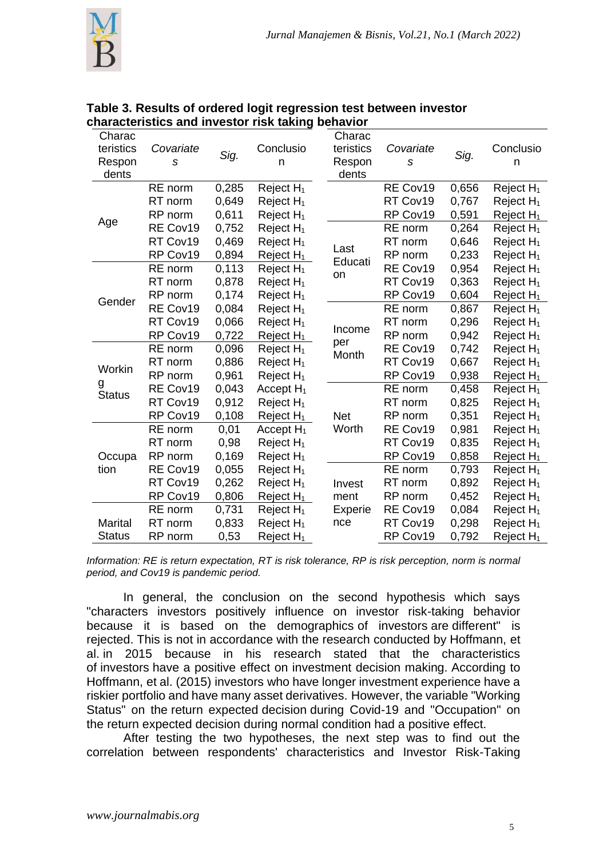

| Charac<br>teristics<br>Respon<br>dents | Covariate<br>S | Sig.  | Conclusio<br>n        |  | Charac<br>teristics<br>Respon<br>dents | Covariate<br>$\mathsf S$ | Sig.         | Conclusio<br>n        |
|----------------------------------------|----------------|-------|-----------------------|--|----------------------------------------|--------------------------|--------------|-----------------------|
|                                        | RE norm        | 0,285 | Reject H <sub>1</sub> |  |                                        | RE Cov19                 | 0,656        | Reject H <sub>1</sub> |
|                                        | RT norm        | 0,649 | Reject H <sub>1</sub> |  |                                        | RT Cov19                 | 0,767        | Reject $H_1$          |
|                                        | RP norm        | 0,611 | Reject $H_1$          |  |                                        | RP Cov19                 | 0,591        | Reject $H_1$          |
| Age                                    | RE Cov19       | 0,752 | Reject H <sub>1</sub> |  |                                        | RE norm                  | 0,264        | Reject $H_1$          |
|                                        | RT Cov19       | 0,469 | Reject H <sub>1</sub> |  |                                        | RT norm                  | 0,646        | Reject H <sub>1</sub> |
|                                        | RP Cov19       | 0,894 | Reject H <sub>1</sub> |  | Last                                   | RP norm                  | 0,233        | Reject H <sub>1</sub> |
|                                        | RE norm        | 0,113 | Reject H <sub>1</sub> |  | Educati                                | RE Cov19                 | 0,954        | Reject H <sub>1</sub> |
|                                        | RT norm        | 0,878 | Reject $H_1$          |  | on                                     | RT Cov19                 | 0,363        | Reject $H_1$          |
| Gender                                 | RP norm        | 0,174 | Reject H <sub>1</sub> |  |                                        | RP Cov19                 | 0,604        | Reject H <sub>1</sub> |
|                                        | RE Cov19       | 0,084 | Reject $H_1$          |  |                                        | RE norm                  | 0,867        | Reject H <sub>1</sub> |
|                                        | RT Cov19       | 0,066 | Reject $H_1$          |  | Income                                 | RT norm                  | 0,296        | Reject $H_1$          |
|                                        | RP Cov19       | 0,722 | Reject $H_1$          |  | per                                    | RP norm                  | 0,942        | Reject $H_1$          |
|                                        | RE norm        | 0,096 | Reject H <sub>1</sub> |  | Month                                  | RE Cov19                 | 0,742        | Reject $H_1$          |
| Workin                                 | RT norm        | 0,886 | Reject $H_1$          |  | RT Cov19                               | 0,667                    | Reject $H_1$ |                       |
|                                        | RP norm        | 0,961 | Reject $H_1$          |  |                                        | RP Cov19                 | 0,938        | Reject $H_1$          |
| g<br><b>Status</b>                     | RE Cov19       | 0,043 | Accept $H_1$          |  |                                        | RE norm                  | 0,458        | Reject $H_1$          |
|                                        | RT Cov19       | 0,912 | Reject H <sub>1</sub> |  |                                        | RT norm                  | 0,825        | Reject H <sub>1</sub> |
|                                        | RP Cov19       | 0,108 | Reject H <sub>1</sub> |  | <b>Net</b>                             | RP norm                  | 0,351        | Reject H <sub>1</sub> |
|                                        | RE norm        | 0,01  | Accept $H_1$          |  | Worth                                  | RE Cov19                 | 0,981        | Reject H <sub>1</sub> |
|                                        | RT norm        | 0,98  | Reject H <sub>1</sub> |  |                                        | RT Cov19                 | 0,835        | Reject H <sub>1</sub> |
| Occupa                                 | RP norm        | 0,169 | Reject $H_1$          |  |                                        | RP Cov19                 | 0,858        | Reject H <sub>1</sub> |
| tion                                   | RE Cov19       | 0,055 | Reject $H_1$          |  |                                        | RE norm                  | 0,793        | Reject H <sub>1</sub> |
|                                        | RT Cov19       | 0,262 | Reject H <sub>1</sub> |  | Invest                                 | RT norm                  | 0,892        | Reject $H_1$          |
|                                        | RP Cov19       | 0,806 | Reject $H_1$          |  | ment                                   | RP norm                  | 0,452        | Reject $H_1$          |
|                                        | RE norm        | 0,731 | Reject $H_1$          |  | Experie                                | RE Cov19                 | 0,084        | Reject $H_1$          |
| Marital                                | RT norm        | 0,833 | Reject $H_1$          |  | nce                                    | RT Cov19                 | 0,298        | Reject $H_1$          |
| <b>Status</b>                          | RP norm        | 0,53  | Reject $H_1$          |  |                                        | RP Cov19                 | 0,792        | Reject H <sub>1</sub> |

## **Table 3. Results of ordered logit regression test between investor characteristics and investor risk taking behavior**

*Information: RE is return expectation, RT is risk tolerance, RP is risk perception, norm is normal period, and Cov19 is pandemic period.*

In general, the conclusion on the second hypothesis which says "characters investors positively influence on investor risk-taking behavior because it is based on the demographics of investors are different" is rejected. This is not in accordance with the research conducted by Hoffmann, et al. in 2015 because in his research stated that the characteristics of investors have a positive effect on investment decision making. According to Hoffmann, et al. (2015) investors who have longer investment experience have a riskier portfolio and have many asset derivatives. However, the variable "Working Status" on the return expected decision during Covid-19 and "Occupation" on the return expected decision during normal condition had a positive effect.

After testing the two hypotheses, the next step was to find out the correlation between respondents' characteristics and Investor Risk-Taking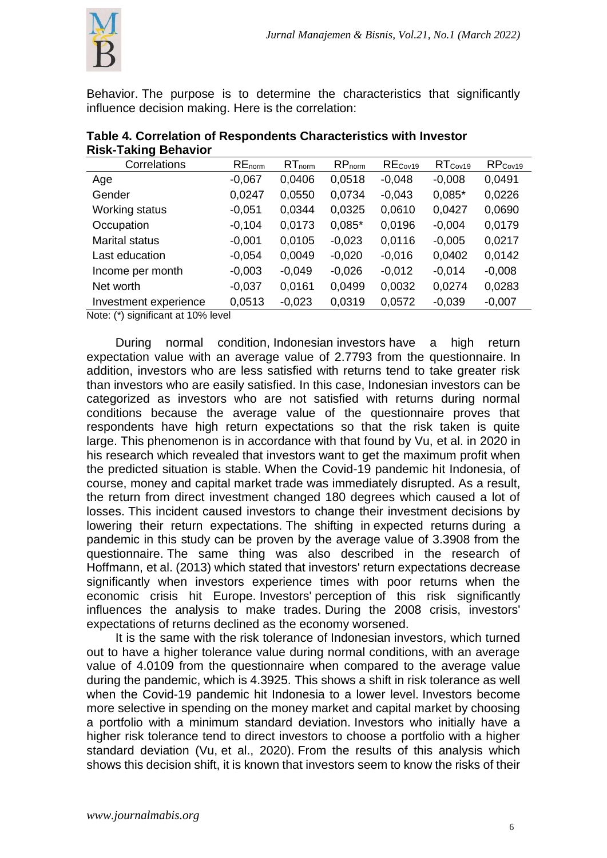

Behavior. The purpose is to determine the characteristics that significantly influence decision making. Here is the correlation:

| $\cdots$              |                    |             |                    |                     |                     |                     |
|-----------------------|--------------------|-------------|--------------------|---------------------|---------------------|---------------------|
| Correlations          | RE <sub>norm</sub> | $RT_{norm}$ | RP <sub>norm</sub> | RE <sub>Cov19</sub> | RT <sub>Cov19</sub> | RP <sub>Cov19</sub> |
| Age                   | $-0,067$           | 0,0406      | 0,0518             | $-0,048$            | $-0,008$            | 0,0491              |
| Gender                | 0,0247             | 0,0550      | 0,0734             | $-0,043$            | $0,085*$            | 0,0226              |
| Working status        | $-0,051$           | 0,0344      | 0,0325             | 0,0610              | 0,0427              | 0,0690              |
| Occupation            | $-0,104$           | 0,0173      | $0,085*$           | 0,0196              | $-0,004$            | 0,0179              |
| <b>Marital status</b> | $-0,001$           | 0,0105      | $-0,023$           | 0,0116              | $-0,005$            | 0,0217              |
| Last education        | $-0,054$           | 0,0049      | $-0,020$           | $-0,016$            | 0,0402              | 0,0142              |
| Income per month      | $-0,003$           | $-0,049$    | $-0,026$           | $-0,012$            | $-0.014$            | $-0,008$            |
| Net worth             | $-0,037$           | 0,0161      | 0,0499             | 0,0032              | 0,0274              | 0,0283              |
| Investment experience | 0,0513             | $-0,023$    | 0,0319             | 0,0572              | $-0,039$            | $-0,007$            |

### **Table 4. Correlation of Respondents Characteristics with Investor Risk-Taking Behavior**

Note: (\*) significant at 10% level

During normal condition, Indonesian investors have a high return expectation value with an average value of 2.7793 from the questionnaire. In addition, investors who are less satisfied with returns tend to take greater risk than investors who are easily satisfied. In this case, Indonesian investors can be categorized as investors who are not satisfied with returns during normal conditions because the average value of the questionnaire proves that respondents have high return expectations so that the risk taken is quite large. This phenomenon is in accordance with that found by Vu, et al. in 2020 in his research which revealed that investors want to get the maximum profit when the predicted situation is stable. When the Covid-19 pandemic hit Indonesia, of course, money and capital market trade was immediately disrupted. As a result, the return from direct investment changed 180 degrees which caused a lot of losses. This incident caused investors to change their investment decisions by lowering their return expectations. The shifting in expected returns during a pandemic in this study can be proven by the average value of 3.3908 from the questionnaire. The same thing was also described in the research of Hoffmann, et al. (2013) which stated that investors' return expectations decrease significantly when investors experience times with poor returns when the economic crisis hit Europe. Investors' perception of this risk significantly influences the analysis to make trades. During the 2008 crisis, investors' expectations of returns declined as the economy worsened.

It is the same with the risk tolerance of Indonesian investors, which turned out to have a higher tolerance value during normal conditions, with an average value of 4.0109 from the questionnaire when compared to the average value during the pandemic, which is 4.3925. This shows a shift in risk tolerance as well when the Covid-19 pandemic hit Indonesia to a lower level. Investors become more selective in spending on the money market and capital market by choosing a portfolio with a minimum standard deviation. Investors who initially have a higher risk tolerance tend to direct investors to choose a portfolio with a higher standard deviation (Vu, et al., 2020). From the results of this analysis which shows this decision shift, it is known that investors seem to know the risks of their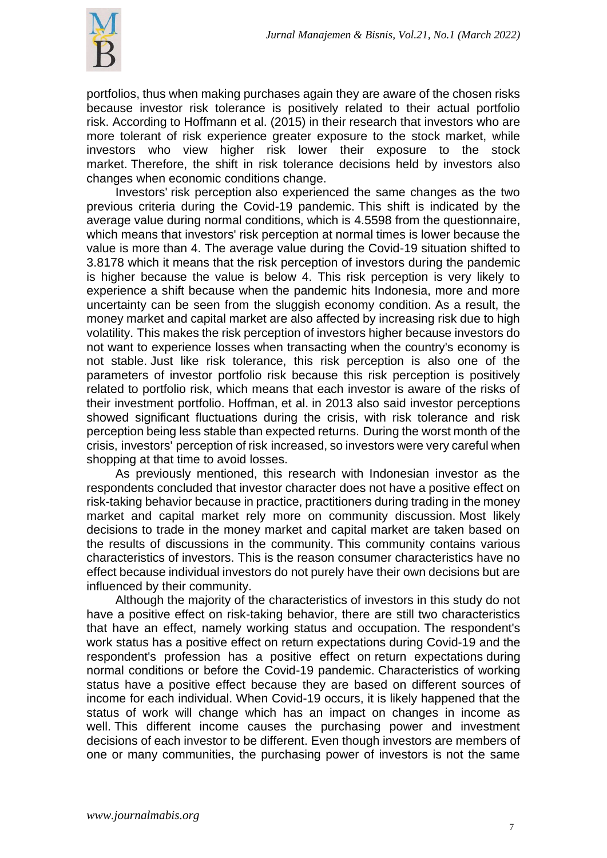

portfolios, thus when making purchases again they are aware of the chosen risks because investor risk tolerance is positively related to their actual portfolio risk. According to Hoffmann et al. (2015) in their research that investors who are more tolerant of risk experience greater exposure to the stock market, while investors who view higher risk lower their exposure to the stock market. Therefore, the shift in risk tolerance decisions held by investors also changes when economic conditions change.

Investors' risk perception also experienced the same changes as the two previous criteria during the Covid-19 pandemic. This shift is indicated by the average value during normal conditions, which is 4.5598 from the questionnaire, which means that investors' risk perception at normal times is lower because the value is more than 4. The average value during the Covid-19 situation shifted to 3.8178 which it means that the risk perception of investors during the pandemic is higher because the value is below 4. This risk perception is very likely to experience a shift because when the pandemic hits Indonesia, more and more uncertainty can be seen from the sluggish economy condition. As a result, the money market and capital market are also affected by increasing risk due to high volatility. This makes the risk perception of investors higher because investors do not want to experience losses when transacting when the country's economy is not stable. Just like risk tolerance, this risk perception is also one of the parameters of investor portfolio risk because this risk perception is positively related to portfolio risk, which means that each investor is aware of the risks of their investment portfolio. Hoffman, et al. in 2013 also said investor perceptions showed significant fluctuations during the crisis, with risk tolerance and risk perception being less stable than expected returns. During the worst month of the crisis, investors' perception of risk increased, so investors were very careful when shopping at that time to avoid losses.

As previously mentioned, this research with Indonesian investor as the respondents concluded that investor character does not have a positive effect on risk-taking behavior because in practice, practitioners during trading in the money market and capital market rely more on community discussion. Most likely decisions to trade in the money market and capital market are taken based on the results of discussions in the community. This community contains various characteristics of investors. This is the reason consumer characteristics have no effect because individual investors do not purely have their own decisions but are influenced by their community.

Although the majority of the characteristics of investors in this study do not have a positive effect on risk-taking behavior, there are still two characteristics that have an effect, namely working status and occupation. The respondent's work status has a positive effect on return expectations during Covid-19 and the respondent's profession has a positive effect on return expectations during normal conditions or before the Covid-19 pandemic. Characteristics of working status have a positive effect because they are based on different sources of income for each individual. When Covid-19 occurs, it is likely happened that the status of work will change which has an impact on changes in income as well. This different income causes the purchasing power and investment decisions of each investor to be different. Even though investors are members of one or many communities, the purchasing power of investors is not the same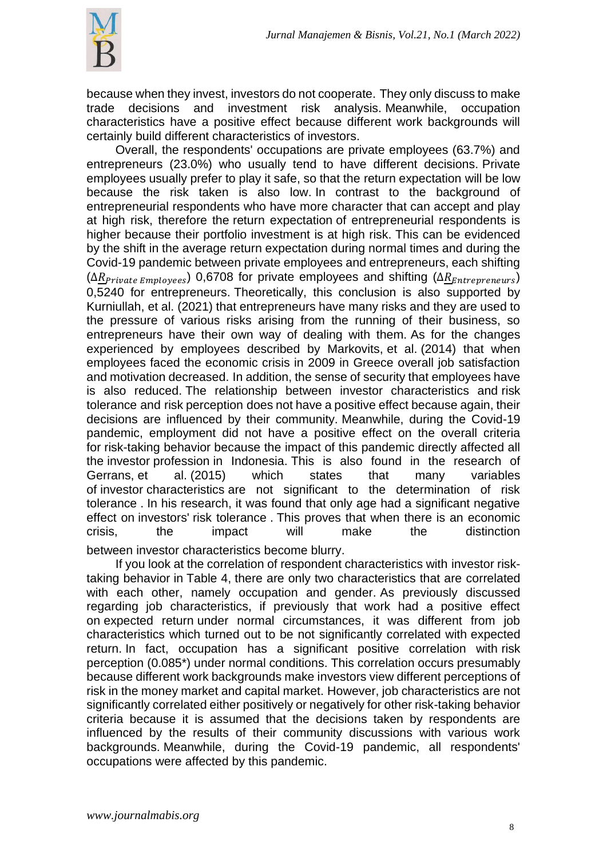

because when they invest, investors do not cooperate. They only discuss to make trade decisions and investment risk analysis. Meanwhile, occupation characteristics have a positive effect because different work backgrounds will certainly build different characteristics of investors.

Overall, the respondents' occupations are private employees (63.7%) and entrepreneurs (23.0%) who usually tend to have different decisions. Private employees usually prefer to play it safe, so that the return expectation will be low because the risk taken is also low. In contrast to the background of entrepreneurial respondents who have more character that can accept and play at high risk, therefore the return expectation of entrepreneurial respondents is higher because their portfolio investment is at high risk. This can be evidenced by the shift in the average return expectation during normal times and during the Covid-19 pandemic between private employees and entrepreneurs, each shifting  $(\Delta R_{Private\,Embloves})$  0,6708 for private employees and shifting  $(\Delta R_{Entrepreneurs})$ 0,5240 for entrepreneurs. Theoretically, this conclusion is also supported by Kurniullah, et al. (2021) that entrepreneurs have many risks and they are used to the pressure of various risks arising from the running of their business, so entrepreneurs have their own way of dealing with them. As for the changes experienced by employees described by Markovits, et al. (2014) that when employees faced the economic crisis in 2009 in Greece overall job satisfaction and motivation decreased. In addition, the sense of security that employees have is also reduced. The relationship between investor characteristics and risk tolerance and risk perception does not have a positive effect because again, their decisions are influenced by their community. Meanwhile, during the Covid-19 pandemic, employment did not have a positive effect on the overall criteria for risk-taking behavior because the impact of this pandemic directly affected all the investor profession in Indonesia. This is also found in the research of Gerrans, et al. (2015) which states that many variables of investor characteristics are not significant to the determination of risk tolerance . In his research, it was found that only age had a significant negative effect on investors' risk tolerance . This proves that when there is an economic crisis, the impact will make the distinction

between investor characteristics become blurry.

If you look at the correlation of respondent characteristics with investor risktaking behavior in Table 4, there are only two characteristics that are correlated with each other, namely occupation and gender. As previously discussed regarding job characteristics, if previously that work had a positive effect on expected return under normal circumstances, it was different from job characteristics which turned out to be not significantly correlated with expected return. In fact, occupation has a significant positive correlation with risk perception (0.085\*) under normal conditions. This correlation occurs presumably because different work backgrounds make investors view different perceptions of risk in the money market and capital market. However, job characteristics are not significantly correlated either positively or negatively for other risk-taking behavior criteria because it is assumed that the decisions taken by respondents are influenced by the results of their community discussions with various work backgrounds. Meanwhile, during the Covid-19 pandemic, all respondents' occupations were affected by this pandemic.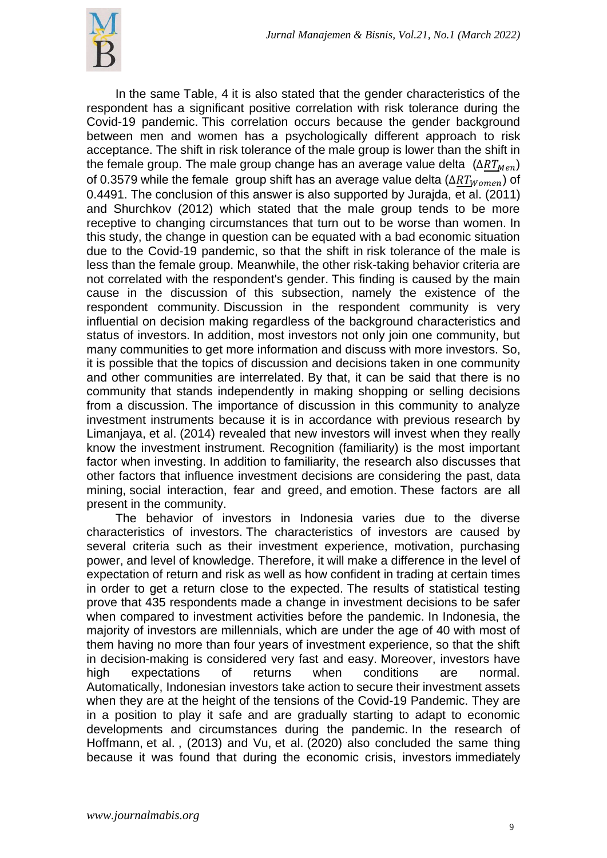

In the same Table, 4 it is also stated that the gender characteristics of the respondent has a significant positive correlation with risk tolerance during the Covid-19 pandemic. This correlation occurs because the gender background between men and women has a psychologically different approach to risk acceptance. The shift in risk tolerance of the male group is lower than the shift in the female group. The male group change has an average value delta  $(\Delta RT_{Men})$ of 0.3579 while the female group shift has an average value delta ( $\Delta RT_{Women}$ ) of 0.4491. The conclusion of this answer is also supported by Jurajda, et al. (2011) and Shurchkov (2012) which stated that the male group tends to be more receptive to changing circumstances that turn out to be worse than women. In this study, the change in question can be equated with a bad economic situation due to the Covid-19 pandemic, so that the shift in risk tolerance of the male is less than the female group. Meanwhile, the other risk-taking behavior criteria are not correlated with the respondent's gender. This finding is caused by the main cause in the discussion of this subsection, namely the existence of the respondent community. Discussion in the respondent community is very influential on decision making regardless of the background characteristics and status of investors. In addition, most investors not only join one community, but many communities to get more information and discuss with more investors. So, it is possible that the topics of discussion and decisions taken in one community and other communities are interrelated. By that, it can be said that there is no community that stands independently in making shopping or selling decisions from a discussion. The importance of discussion in this community to analyze investment instruments because it is in accordance with previous research by Limanjaya, et al. (2014) revealed that new investors will invest when they really know the investment instrument. Recognition (familiarity) is the most important factor when investing. In addition to familiarity, the research also discusses that other factors that influence investment decisions are considering the past, data mining, social interaction, fear and greed, and emotion. These factors are all present in the community.

The behavior of investors in Indonesia varies due to the diverse characteristics of investors. The characteristics of investors are caused by several criteria such as their investment experience, motivation, purchasing power, and level of knowledge. Therefore, it will make a difference in the level of expectation of return and risk as well as how confident in trading at certain times in order to get a return close to the expected. The results of statistical testing prove that 435 respondents made a change in investment decisions to be safer when compared to investment activities before the pandemic. In Indonesia, the majority of investors are millennials, which are under the age of 40 with most of them having no more than four years of investment experience, so that the shift in decision-making is considered very fast and easy. Moreover, investors have high expectations of returns when conditions are normal. Automatically, Indonesian investors take action to secure their investment assets when they are at the height of the tensions of the Covid-19 Pandemic. They are in a position to play it safe and are gradually starting to adapt to economic developments and circumstances during the pandemic. In the research of Hoffmann, et al. , (2013) and Vu, et al. (2020) also concluded the same thing because it was found that during the economic crisis, investors immediately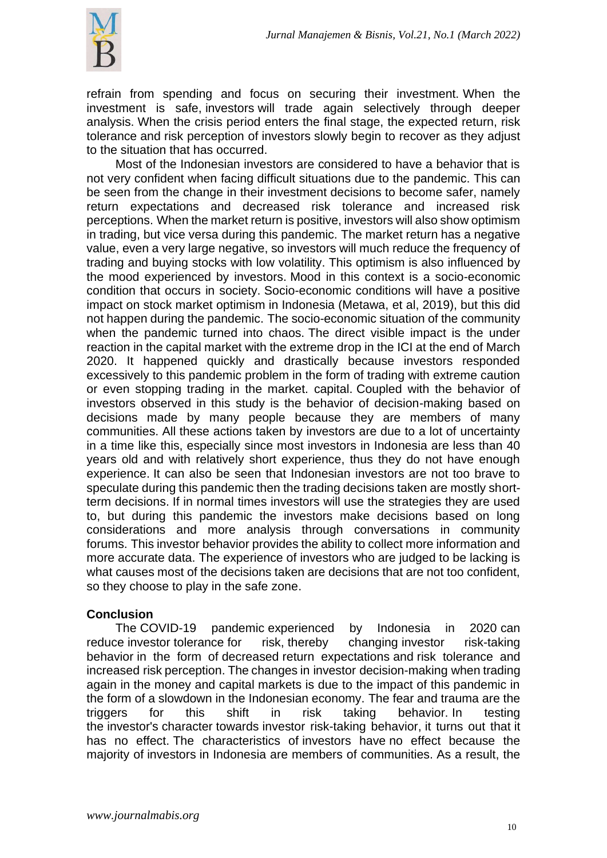

refrain from spending and focus on securing their investment. When the investment is safe, investors will trade again selectively through deeper analysis. When the crisis period enters the final stage, the expected return, risk tolerance and risk perception of investors slowly begin to recover as they adjust to the situation that has occurred.

Most of the Indonesian investors are considered to have a behavior that is not very confident when facing difficult situations due to the pandemic. This can be seen from the change in their investment decisions to become safer, namely return expectations and decreased risk tolerance and increased risk perceptions. When the market return is positive, investors will also show optimism in trading, but vice versa during this pandemic. The market return has a negative value, even a very large negative, so investors will much reduce the frequency of trading and buying stocks with low volatility. This optimism is also influenced by the mood experienced by investors. Mood in this context is a socio-economic condition that occurs in society. Socio-economic conditions will have a positive impact on stock market optimism in Indonesia (Metawa, et al, 2019), but this did not happen during the pandemic. The socio-economic situation of the community when the pandemic turned into chaos. The direct visible impact is the under reaction in the capital market with the extreme drop in the ICI at the end of March 2020. It happened quickly and drastically because investors responded excessively to this pandemic problem in the form of trading with extreme caution or even stopping trading in the market. capital. Coupled with the behavior of investors observed in this study is the behavior of decision-making based on decisions made by many people because they are members of many communities. All these actions taken by investors are due to a lot of uncertainty in a time like this, especially since most investors in Indonesia are less than 40 years old and with relatively short experience, thus they do not have enough experience. It can also be seen that Indonesian investors are not too brave to speculate during this pandemic then the trading decisions taken are mostly shortterm decisions. If in normal times investors will use the strategies they are used to, but during this pandemic the investors make decisions based on long considerations and more analysis through conversations in community forums. This investor behavior provides the ability to collect more information and more accurate data. The experience of investors who are judged to be lacking is what causes most of the decisions taken are decisions that are not too confident, so they choose to play in the safe zone.

## **Conclusion**

The COVID-19 pandemic experienced by Indonesia in 2020 can reduce investor tolerance for risk, thereby changing investor risk-taking behavior in the form of decreased return expectations and risk tolerance and increased risk perception. The changes in investor decision-making when trading again in the money and capital markets is due to the impact of this pandemic in the form of a slowdown in the Indonesian economy. The fear and trauma are the triggers for this shift in risk taking behavior. In testing the investor's character towards investor risk-taking behavior, it turns out that it has no effect. The characteristics of investors have no effect because the majority of investors in Indonesia are members of communities. As a result, the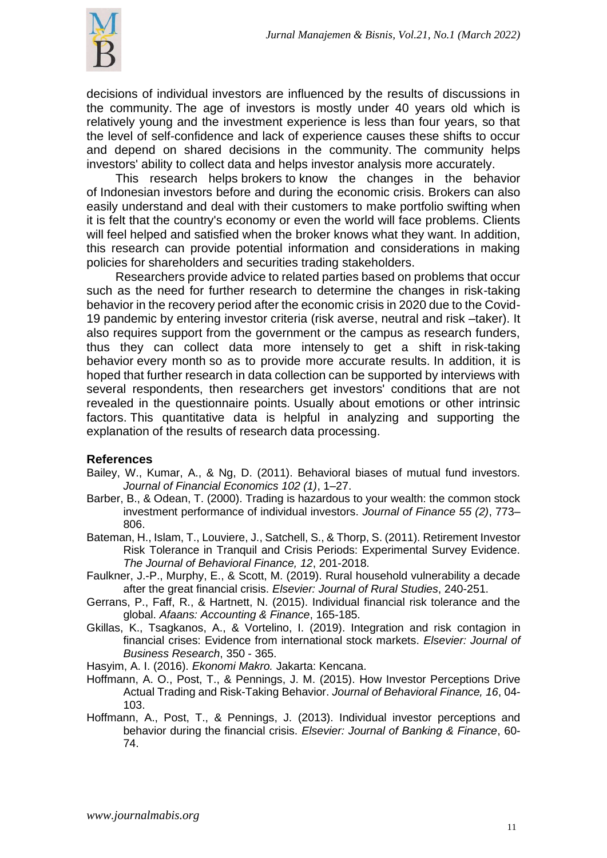

decisions of individual investors are influenced by the results of discussions in the community. The age of investors is mostly under 40 years old which is relatively young and the investment experience is less than four years, so that the level of self-confidence and lack of experience causes these shifts to occur and depend on shared decisions in the community. The community helps investors' ability to collect data and helps investor analysis more accurately.

This research helps brokers to know the changes in the behavior of Indonesian investors before and during the economic crisis. Brokers can also easily understand and deal with their customers to make portfolio swifting when it is felt that the country's economy or even the world will face problems. Clients will feel helped and satisfied when the broker knows what they want. In addition, this research can provide potential information and considerations in making policies for shareholders and securities trading stakeholders.

Researchers provide advice to related parties based on problems that occur such as the need for further research to determine the changes in risk-taking behavior in the recovery period after the economic crisis in 2020 due to the Covid-19 pandemic by entering investor criteria (risk averse, neutral and risk –taker). It also requires support from the government or the campus as research funders, thus they can collect data more intensely to get a shift in risk-taking behavior every month so as to provide more accurate results. In addition, it is hoped that further research in data collection can be supported by interviews with several respondents, then researchers get investors' conditions that are not revealed in the questionnaire points. Usually about emotions or other intrinsic factors. This quantitative data is helpful in analyzing and supporting the explanation of the results of research data processing.

### **References**

- Bailey, W., Kumar, A., & Ng, D. (2011). Behavioral biases of mutual fund investors. *Journal of Financial Economics 102 (1)*, 1–27.
- Barber, B., & Odean, T. (2000). Trading is hazardous to your wealth: the common stock investment performance of individual investors. *Journal of Finance 55 (2)*, 773– 806.
- Bateman, H., Islam, T., Louviere, J., Satchell, S., & Thorp, S. (2011). Retirement Investor Risk Tolerance in Tranquil and Crisis Periods: Experimental Survey Evidence. *The Journal of Behavioral Finance, 12*, 201-2018.
- Faulkner, J.-P., Murphy, E., & Scott, M. (2019). Rural household vulnerability a decade after the great financial crisis. *Elsevier: Journal of Rural Studies*, 240-251.
- Gerrans, P., Faff, R., & Hartnett, N. (2015). Individual financial risk tolerance and the global. *Afaans: Accounting & Finance*, 165-185.
- Gkillas, K., Tsagkanos, A., & Vortelino, I. (2019). Integration and risk contagion in financial crises: Evidence from international stock markets. *Elsevier: Journal of Business Research*, 350 - 365.
- Hasyim, A. I. (2016). *Ekonomi Makro.* Jakarta: Kencana.
- Hoffmann, A. O., Post, T., & Pennings, J. M. (2015). How Investor Perceptions Drive Actual Trading and Risk-Taking Behavior. *Journal of Behavioral Finance, 16*, 04- 103.
- Hoffmann, A., Post, T., & Pennings, J. (2013). Individual investor perceptions and behavior during the financial crisis. *Elsevier: Journal of Banking & Finance*, 60- 74.